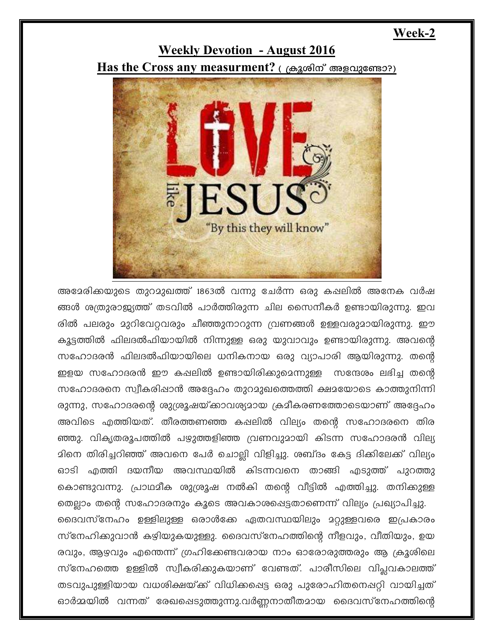## **Week-2**

## **Weekly Devotion - August 2016** Has the Cross any measurment?  $($  (ക $3$ ശിന് അളവുണ്ടോ?)



അമേരിക്കയുടെ തുറമുഖത്ത് 1863ൽ വന്നു ചേർന്ന ഒരു കഷലിൽ അനേക വർഷ ങ്ങൾ ശത്രുരാജ്യത്ത് തടവിൽ പാർത്തിരുന്ന ചില സൈനീകർ ഉണ്ടായിരുന്നു. ഇവ രിൽ പലരും മുറിവേറ്റവരും ചീഞ്ഞുനാറുന്ന വ്രണങ്ങൾ ഉള്ളവരുമായിരുന്നു. ഈ കൂട്ടത്തിൽ ഫിലദൽഫിയായിൽ നിന്നുള്ള ഒരു യുവാവും ഉണ്ടായിരുന്നു. അവന്റെ സഹോദരൻ ഫിലദൽഫിയായിലെ ധനികനായ ഒരു വ്യാപാരി ആയിരുന്നു. തന്റെ ഇളയ സഹോദരൻ ഈ കഷലിൽ ഉണ്ടായിരിക്കുമെന്നുള്ള സന്ദേശം ലഭിച്ച തന്റെ സഹോദരനെ സ്വീകരിഷാൻ അദ്ദേഹം തുറമുഖത്തെത്തി ക്ഷമയോടെ കാത്തുനിന്നി രുന്നു, സഹോദരന്റെ ശുശ്രൂഷയ്ക്കാവശ്യമായ ക്രമീകരണത്തോടെയാണ് അദ്ദേഹം അവിടെ എത്തിയത്. തീരത്തണഞ്ഞ കഷലിൽ വില്യം തന്റെ സഹോദരനെ തിര ഞ്ഞു. വികൃതരൂപത്തിൽ പഴുത്തളിഞ്ഞ വ്രണവുമായി കിടന്ന സഹോദരൻ വില്യ മിനെ തിരിച്ചറിഞ്ഞ് അവനെ പേർ ചൊല്ലി വിളിച്ചു. ശബ്ദം കേട്ട ദിക്കിലേക്ക് വില്യം ഓടി എത്തി ദയനീയ അവസ്ഥയിൽ കിടന്നവനെ താങ്ങി എടുത്ത് പുറത്തു കൊണ്ടുവന്നു. പ്രാഥമീക ശുശ്രൂഷ നൽകി തന്റെ വീട്ടിൽ എത്തിച്ചു. തനിക്കുള്ള

തെല്ലാം തന്റെ സഹോദരനും കൂടെ അവകാശപ്പെട്ടതാണെന്ന് വില്യം പ്രഖ്യാപിച്ചു. ദൈവസ്നേഹം ഉള്ളിലുള്ള ഒരാൾക്കേ ഏതവസ്ഥയിലും മറ്റുള്ളവരെ ഇപ്രകാരം സ്നേഹിക്കുവാൻ കഴിയുകയുള്ളു. ദൈവസ്നേഹത്തിന്റെ നീളവും, വീതിയും, ഉയ രവും, ആഴവും എന്തെന്ന് ഗ്രഹിക്കേണ്ടവരായ നാം ഓരോരുത്തരും ആ ക്രൂശിലെ സ്നേഹത്തെ ഉള്ളിൽ സ്വീകരിക്കുകയാണ് വേണ്ടത്. പാരീസിലെ വിപ്ലവകാലത്ത് തടവുപുള്ളിയായ വധശിക്ഷയ്ക്ക് വിധിക്കപ്പെട്ട ഒരു പുരോഹിതനെപ്പറ്റി വായിച്ചത് ഓർമ്മയിൽ വന്നത് രേഖപ്പെടുത്തുന്നു.വർണ്ണനാതീതമായ ദൈവസ്നേഹത്തിന്റെ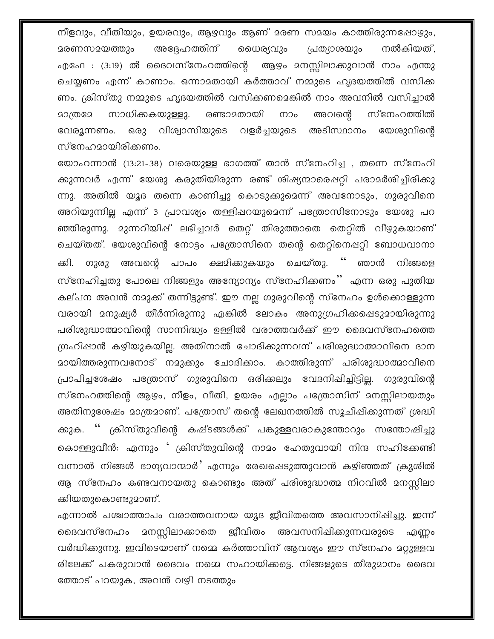നീളവും, വീതിയും, ഉയരവും, ആഴവും ആണ് മരണ സമയം കാത്തിരുന്നപ്പോഴും, അദ്ദേഹത്തിന് ഗൈര്യവും പ്രത്യാശയും നൽകിയത്. എഫേ : (3:19) ൽ ദൈവസ്നേഹത്തിന്റെ ആഴം മനസ്സിലാക്കുവാൻ നാം എന്തു ചെയ്യണം എന്ന് കാണാം. ഒന്നാമതായി കർത്താവ് നമ്മുടെ ഹൃദയത്തിൽ വസിക്ക ണം. ക്രിസ്തു നമ്മുടെ ഹൃദയത്തിൽ വസിക്കണമെങ്കിൽ നാം അവനിൽ വസിച്ചാൽ സാധിക്കകയുള്ളു. 20ത്രമേ രണ്ടാമതായി ၮၥၜ അവന്റെ സ്നേഹത്തിൽ ഒരു വിശ്വാസിയുടെ വളർച്ചയുടെ അടിസ്ഥാനം യേശുവിന്റെ വേരുന്നണം. സ്നേഹമായിരിക്കണം.

യോഹന്നാൻ (13:21-38) വരെയുള്ള ഭാഗത്ത് താൻ സ്നേഹിച്ച , തന്നെ സ്നേഹി ക്കുന്നവർ എന്ന് യേശു കരുതിയിരുന്ന രണ്ട് ശിഷ്യന്മാരെഷറ്റി പരാമർശിച്ചിരിക്കു ന്നു. അതിൽ യൂദ തന്നെ കാണിച്ചു കൊടുക്കുമെന്ന് അവനോടും, ഗുരുവിനെ അറിയുന്നില്ല എന്ന് 3 പ്രാവശ്യം തള്ളിഷറയുമെന്ന് പത്രോസിനോടും യേശു പറ ഞ്ഞിരുന്നു. മുന്നറിയിഷ് ലഭിച്ചവർ തെറ്റ് തിരുത്താതെ തെറ്റിൽ വീഴുകയാണ് ചെയ്തത്. യേശുവിന്റെ നോട്ടം പത്രോസിനെ തന്റെ തെറ്റിനെപ്പറ്റി ബോധവാനാ അവന്റെ പാപം ക്ഷമിക്കുകയും ചെയ്തു. ഞാൻ നിങ്ങളെ ക്കി. ഗുരു സ്നേഹിച്ചതു പോലെ നിങ്ങളും അന്യോന്യം സ്നേഹിക്കണം'' എന്ന ഒരു പുതിയ കല്പന അവൻ നമുക്ക് തന്നിട്ടുണ്ട്. ഈ നല്ല ഗുരുവിന്റെ സ്നേഹം ഉൾക്കൊള്ളുന്ന വരായി മനുഷ്യർ തീർന്നിരുന്നു എങ്കിൽ ലോകം അനുഗ്രഹിക്കഷെടുമായിരുന്നു പരിശുദ്ധാത്മാവിന്റെ സാന്നിദ്ധ്യം ഉള്ളിൽ വരാത്തവർക്ക് ഈ ദൈവസ്നേഹത്തെ ഗ്രഹിഷാൻ കഴിയുകയില്ല. അതിനാൽ ചോദിക്കുന്നവന് പരിശുദ്ധാത്മാവിനെ ദാന മായിത്തരുന്നവനോട് നമുക്കും ചോദിക്കാം. കാത്തിരുന്ന് പരിശുദ്ധാത്മാവിനെ പ്രാപിച്ചശേഷം പത്രോസ് ഗുരുവിനെ ഒരിക്കലും വേദനിഷിച്ചിട്ടില്ല. ഗുരുവിന്റെ സ്നേഹത്തിന്റെ ആഴം, നീളം, വീതി, ഉയരം എല്ലാം പത്രോസിന് മനസ്സിലായതും അതിനുശേഷം മാത്രമാണ്. പത്രോസ് തന്റെ ലേഖനത്തിൽ സൂചിഷിക്കുന്നത് ശ്രദ്ധി ക്രിസ്തുവിന്റെ കഷ്ടങ്ങൾക്ക് പങ്കുള്ളവരാകുന്തോറും സന്തോഷിച്ചു ക്കുക. കൊള്ളുവീൻ: എന്നും ' ക്രിസ്തുവിന്റെ നാമം ഹേതുവായി നിന്ദ സഹിക്കേണ്ടി വന്നാൽ നിങ്ങൾ ഭാഗ്യവാന്മാർ' എന്നും രേഖപ്പെടുത്തുവാൻ കഴിഞ്ഞത് ക്രൂശിൽ ആ സ്നേഹം കണ്ടവനായതു കൊണ്ടും അത് പരിശുദ്ധാത്മ നിറവിൽ മനസ്സിലാ ക്കിയതുകൊണ്ടുമാണ്.

എന്നാൽ പശ്ചാത്താപം വരാത്തവനായ യൂദ ജീവിതത്തെ അവസാനിഷിച്ചു. ഇന്ന് ജീവിതം അവസനിഷിക്കുന്നവരുടെ എണ്ണം ദൈവസ്നേഹം മനസ്സിലാക്കാതെ വർദ്ധിക്കുന്നു. ഇവിടെയാണ് നമ്മെ കർത്താവിന് ആവശ്യം ഈ സ്നേഹം മറ്റുള്ളവ രിലേക്ക് പകരുവാൻ ദൈവം നമ്മെ സഹായിക്കട്ടെ. നിങ്ങളുടെ തീരുമാനം ദൈവ ത്തോട് പറയുക, അവൻ വഴി നടത്തും